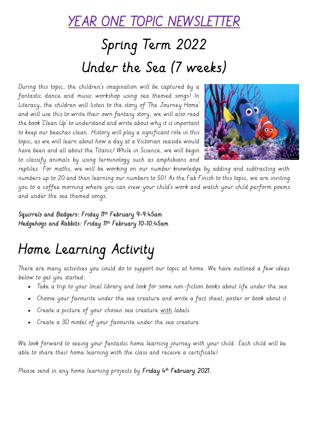#### YEAR ONE TOPIC NEWSLETTER

# Spring Term 2022 Under the Sea (7 weeks)

During this topic, the children's imagination will be captured by a fantastic dance and music workshop using sea themed songs! In Literacy, the children will listen to the story of 'The Journey Home' and will use this to write their own fantasy story, we will also read the book 'Clean Up' to understand and write about why it is important to keep our beaches clean. History will play a significant role in this topic, as we will learn about how a day at a Victorian seaside would have been and all about the Titanic! While in Science, we will begin to classify animals by using terminology such as amphibians and



reptiles. For maths, we will be working on our number knowledge by adding and subtracting with numbers up to 20 and then learning our numbers to 50! As the Fab Finish to this topic, we are inviting you to a coffee morning where you can view your child's work and watch your child perform poems and under the sea themed songs.

Squirrels and Badgers: Friday 11th February 9-9:45am Hedgehogs and Rabbits: Friday 11th February 10-10:45am

## Home Learning Activity

There are many activities you could do to support our topic at home. We have outlined a few ideas below to get you started:

- Take a trip to your local library and look for some non-fiction books about life under the sea
- Choose your favourite under the sea creature and write a fact sheet, poster or book about it
- Create a picture of your chosen sea creature with labels
- Create a 3D model of your favourite under the sea creature

We look forward to seeing your fantastic home learning journey with your child. Each child will be able to share their home learning with the class and receive a certificate!

Please send in any home learning projects by **Friday 4<sup>th</sup> February 2021.**